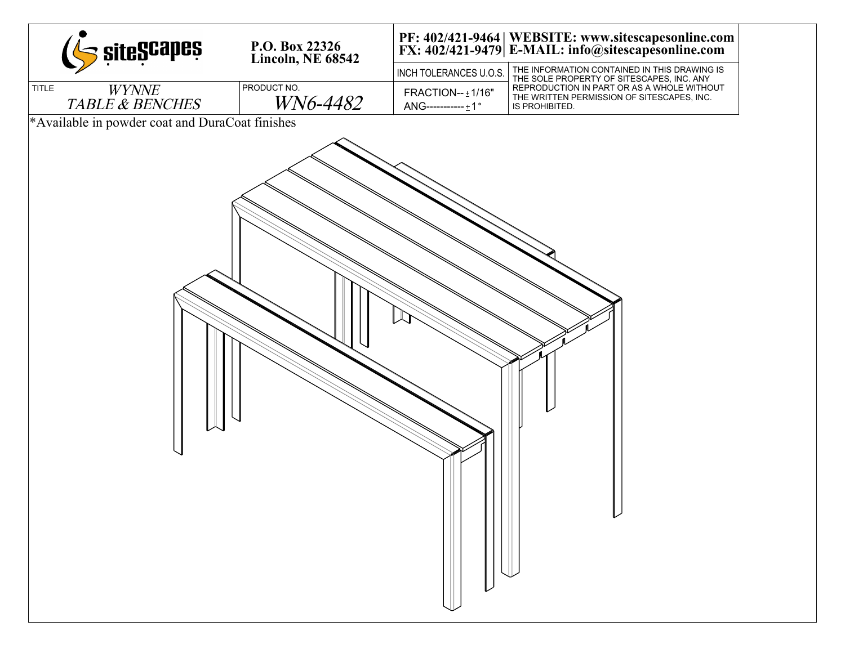